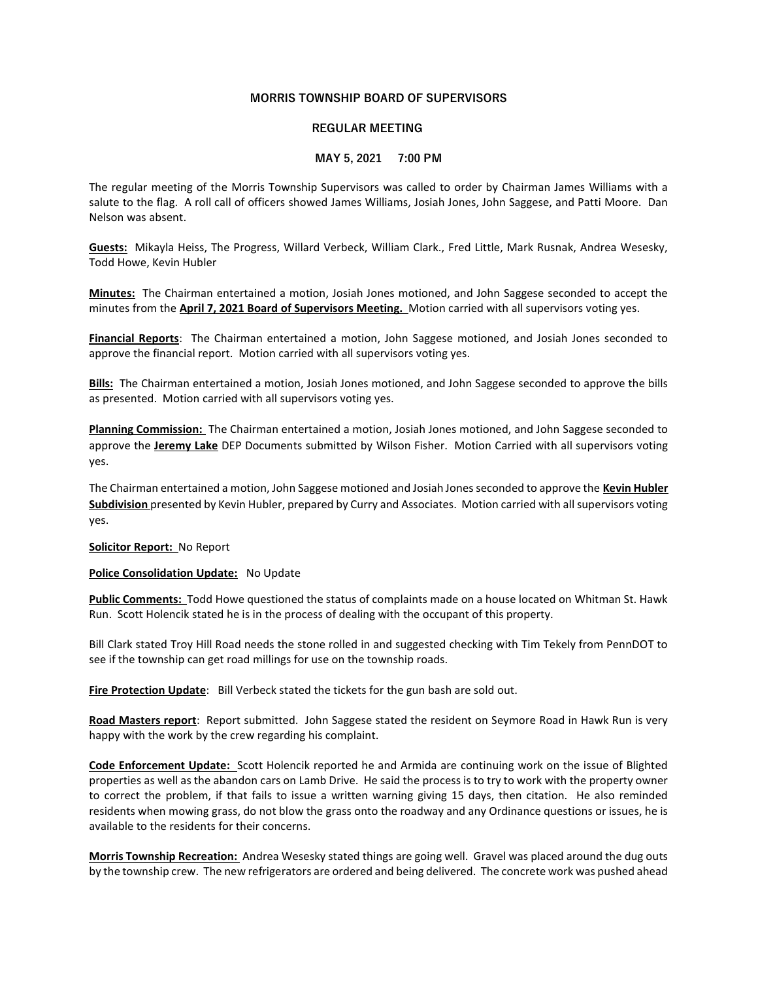## MORRIS TOWNSHIP BOARD OF SUPERVISORS

## REGULAR MEETING

## MAY 5, 2021 7:00 PM

The regular meeting of the Morris Township Supervisors was called to order by Chairman James Williams with a salute to the flag. A roll call of officers showed James Williams, Josiah Jones, John Saggese, and Patti Moore. Dan Nelson was absent.

Guests: Mikayla Heiss, The Progress, Willard Verbeck, William Clark., Fred Little, Mark Rusnak, Andrea Wesesky, Todd Howe, Kevin Hubler

Minutes: The Chairman entertained a motion, Josiah Jones motioned, and John Saggese seconded to accept the minutes from the April 7, 2021 Board of Supervisors Meeting. Motion carried with all supervisors voting yes.

Financial Reports: The Chairman entertained a motion, John Saggese motioned, and Josiah Jones seconded to approve the financial report. Motion carried with all supervisors voting yes.

Bills: The Chairman entertained a motion, Josiah Jones motioned, and John Saggese seconded to approve the bills as presented. Motion carried with all supervisors voting yes.

Planning Commission: The Chairman entertained a motion, Josiah Jones motioned, and John Saggese seconded to approve the Jeremy Lake DEP Documents submitted by Wilson Fisher. Motion Carried with all supervisors voting yes.

The Chairman entertained a motion, John Saggese motioned and Josiah Jones seconded to approve the Kevin Hubler Subdivision presented by Kevin Hubler, prepared by Curry and Associates. Motion carried with all supervisors voting yes.

Solicitor Report: No Report

Police Consolidation Update: No Update

Public Comments: Todd Howe questioned the status of complaints made on a house located on Whitman St. Hawk Run. Scott Holencik stated he is in the process of dealing with the occupant of this property.

Bill Clark stated Troy Hill Road needs the stone rolled in and suggested checking with Tim Tekely from PennDOT to see if the township can get road millings for use on the township roads.

Fire Protection Update: Bill Verbeck stated the tickets for the gun bash are sold out.

Road Masters report: Report submitted. John Saggese stated the resident on Seymore Road in Hawk Run is very happy with the work by the crew regarding his complaint.

Code Enforcement Update: Scott Holencik reported he and Armida are continuing work on the issue of Blighted properties as well as the abandon cars on Lamb Drive. He said the process is to try to work with the property owner to correct the problem, if that fails to issue a written warning giving 15 days, then citation. He also reminded residents when mowing grass, do not blow the grass onto the roadway and any Ordinance questions or issues, he is available to the residents for their concerns.

Morris Township Recreation: Andrea Wesesky stated things are going well. Gravel was placed around the dug outs by the township crew. The new refrigerators are ordered and being delivered. The concrete work was pushed ahead